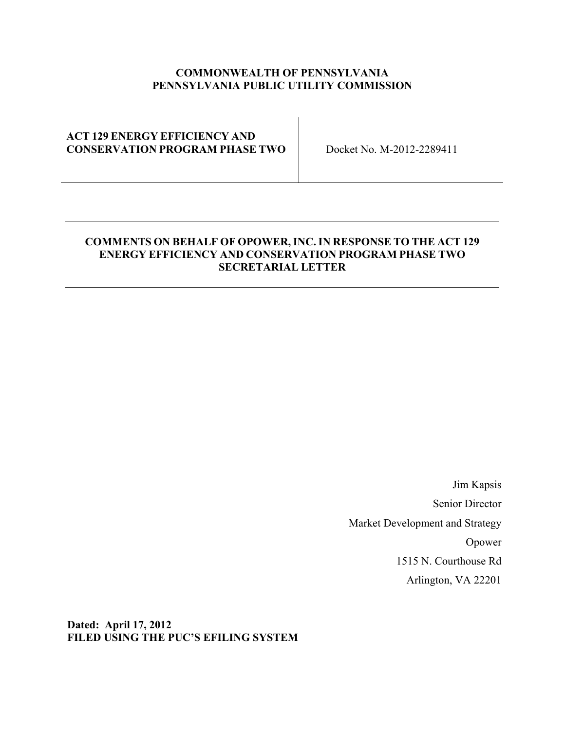### **COMMONWEALTH OF PENNSYLVANIA PENNSYLVANIA PUBLIC UTILITY COMMISSION**

### **ACT 129 ENERGY EFFICIENCY AND CONSERVATION PROGRAM PHASE TWO** Docket No. M-2012-2289411

### **COMMENTS ON BEHALF OF OPOWER, INC. IN RESPONSE TO THE ACT 129 ENERGY EFFICIENCY AND CONSERVATION PROGRAM PHASE TWO SECRETARIAL LETTER**

Jim Kapsis Senior Director Market Development and Strategy Opower 1515 N. Courthouse Rd Arlington, VA 22201

**Dated: April 17, 2012 FILED USING THE PUC'S EFILING SYSTEM**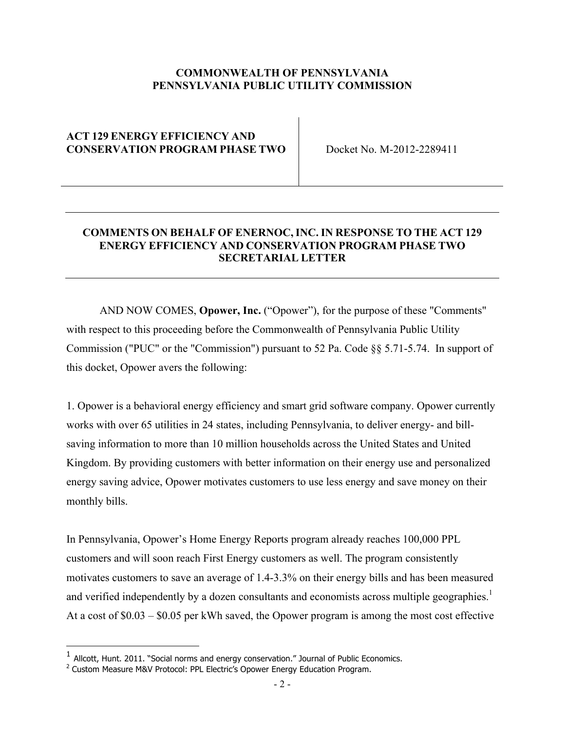### **COMMONWEALTH OF PENNSYLVANIA PENNSYLVANIA PUBLIC UTILITY COMMISSION**

### **ACT 129 ENERGY EFFICIENCY AND CONSERVATION PROGRAM PHASE TWO Docket No. M-2012-2289411**

## **COMMENTS ON BEHALF OF ENERNOC, INC. IN RESPONSE TO THE ACT 129 ENERGY EFFICIENCY AND CONSERVATION PROGRAM PHASE TWO SECRETARIAL LETTER**

AND NOW COMES, **Opower, Inc.** ("Opower"), for the purpose of these "Comments" with respect to this proceeding before the Commonwealth of Pennsylvania Public Utility Commission ("PUC" or the "Commission") pursuant to 52 Pa. Code §§ 5.71-5.74. In support of this docket, Opower avers the following:

1. Opower is a behavioral energy efficiency and smart grid software company. Opower currently works with over 65 utilities in 24 states, including Pennsylvania, to deliver energy- and billsaving information to more than 10 million households across the United States and United Kingdom. By providing customers with better information on their energy use and personalized energy saving advice, Opower motivates customers to use less energy and save money on their monthly bills.

In Pennsylvania, Opower's Home Energy Reports program already reaches 100,000 PPL customers and will soon reach First Energy customers as well. The program consistently motivates customers to save an average of 1.4-3.3% on their energy bills and has been measured and verified independently by a dozen consultants and economists across multiple geographies.<sup>1</sup> At a cost of \$0.03 – \$0.05 per kWh saved, the Opower program is among the most cost effective

 $1$  Allcott, Hunt. 2011. "Social norms and energy conservation." Journal of Public Economics.

<sup>&</sup>lt;sup>2</sup> Custom Measure M&V Protocol: PPL Electric's Opower Energy Education Program.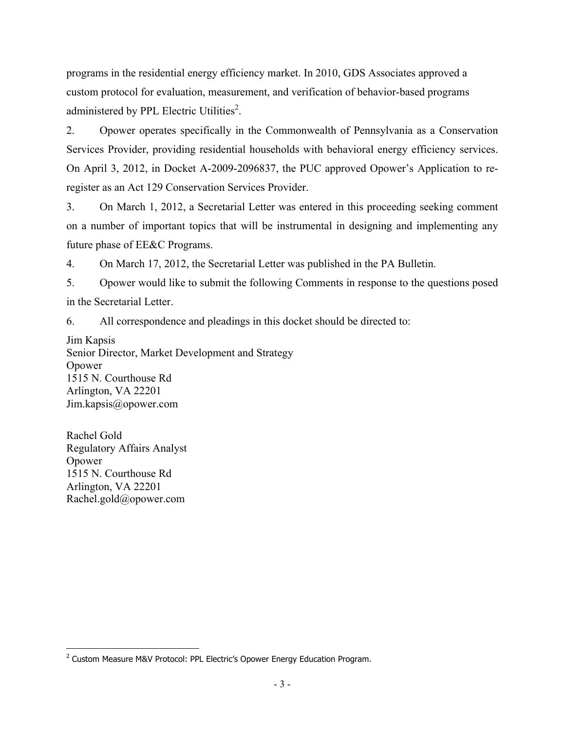programs in the residential energy efficiency market. In 2010, GDS Associates approved a custom protocol for evaluation, measurement, and verification of behavior-based programs administered by PPL Electric Utilities<sup>2</sup>.

2. Opower operates specifically in the Commonwealth of Pennsylvania as a Conservation Services Provider, providing residential households with behavioral energy efficiency services. On April 3, 2012, in Docket A-2009-2096837, the PUC approved Opower's Application to reregister as an Act 129 Conservation Services Provider.

3. On March 1, 2012, a Secretarial Letter was entered in this proceeding seeking comment on a number of important topics that will be instrumental in designing and implementing any future phase of EE&C Programs.

4. On March 17, 2012, the Secretarial Letter was published in the PA Bulletin.

5. Opower would like to submit the following Comments in response to the questions posed in the Secretarial Letter.

6. All correspondence and pleadings in this docket should be directed to:

Jim Kapsis Senior Director, Market Development and Strategy Opower 1515 N. Courthouse Rd Arlington, VA 22201 Jim.kapsis@opower.com

Rachel Gold Regulatory Affairs Analyst Opower 1515 N. Courthouse Rd Arlington, VA 22201 Rachel.gold@opower.com

<sup>!!!!!!!!!!!!!!!!!!!!!!!!!!!!!!!!!!!!!!!!!!!!!!!!!!!!!!!</sup> <sup>2</sup> Custom Measure M&V Protocol: PPL Electric's Opower Energy Education Program.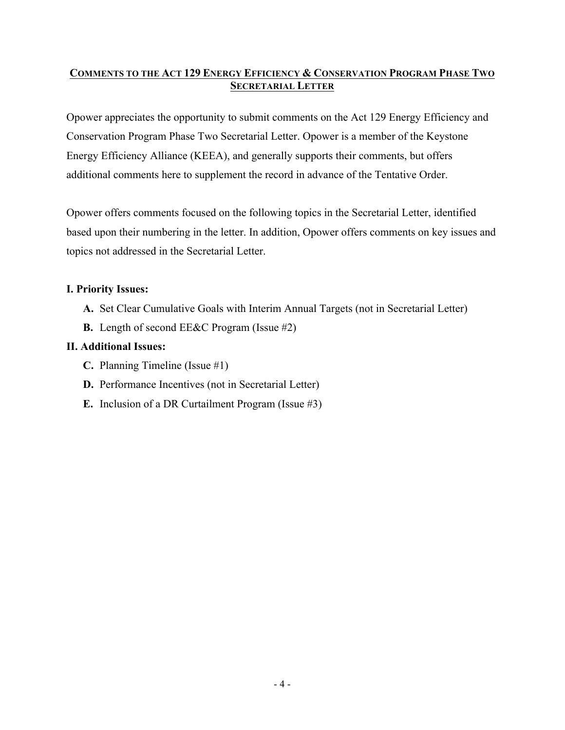## **COMMENTS TO THE ACT 129 ENERGY EFFICIENCY & CONSERVATION PROGRAM PHASE TWO SECRETARIAL LETTER**

Opower appreciates the opportunity to submit comments on the Act 129 Energy Efficiency and Conservation Program Phase Two Secretarial Letter. Opower is a member of the Keystone Energy Efficiency Alliance (KEEA), and generally supports their comments, but offers additional comments here to supplement the record in advance of the Tentative Order.

Opower offers comments focused on the following topics in the Secretarial Letter, identified based upon their numbering in the letter. In addition, Opower offers comments on key issues and topics not addressed in the Secretarial Letter.

## **I. Priority Issues:**

- **A.** Set Clear Cumulative Goals with Interim Annual Targets (not in Secretarial Letter)
- **B.** Length of second EE&C Program (Issue #2)

## **II. Additional Issues:**

- **C.** Planning Timeline (Issue #1)
- **D.** Performance Incentives (not in Secretarial Letter)
- **E.** Inclusion of a DR Curtailment Program (Issue #3)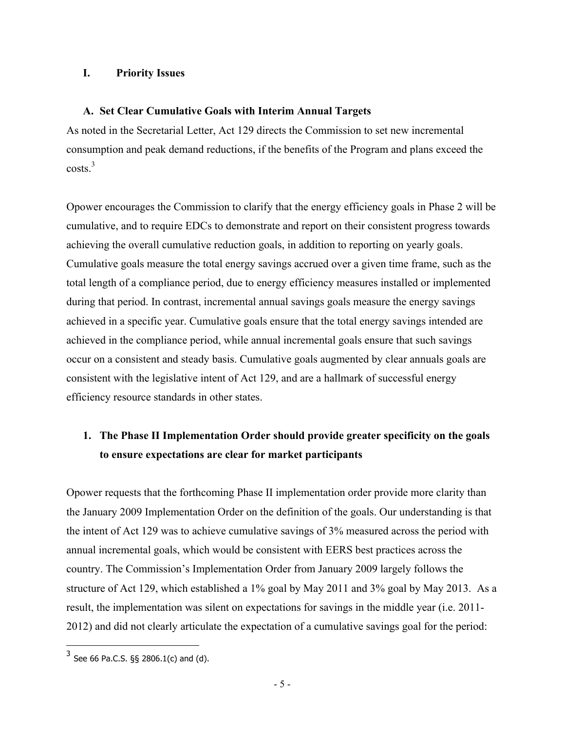### **I. Priority Issues**

### **A. Set Clear Cumulative Goals with Interim Annual Targets**

As noted in the Secretarial Letter, Act 129 directs the Commission to set new incremental consumption and peak demand reductions, if the benefits of the Program and plans exceed the  $costs.<sup>3</sup>$ 

Opower encourages the Commission to clarify that the energy efficiency goals in Phase 2 will be cumulative, and to require EDCs to demonstrate and report on their consistent progress towards achieving the overall cumulative reduction goals, in addition to reporting on yearly goals. Cumulative goals measure the total energy savings accrued over a given time frame, such as the total length of a compliance period, due to energy efficiency measures installed or implemented during that period. In contrast, incremental annual savings goals measure the energy savings achieved in a specific year. Cumulative goals ensure that the total energy savings intended are achieved in the compliance period, while annual incremental goals ensure that such savings occur on a consistent and steady basis. Cumulative goals augmented by clear annuals goals are consistent with the legislative intent of Act 129, and are a hallmark of successful energy efficiency resource standards in other states.

## **1. The Phase II Implementation Order should provide greater specificity on the goals to ensure expectations are clear for market participants**

Opower requests that the forthcoming Phase II implementation order provide more clarity than the January 2009 Implementation Order on the definition of the goals. Our understanding is that the intent of Act 129 was to achieve cumulative savings of 3% measured across the period with annual incremental goals, which would be consistent with EERS best practices across the country. The Commission's Implementation Order from January 2009 largely follows the structure of Act 129, which established a 1% goal by May 2011 and 3% goal by May 2013. As a result, the implementation was silent on expectations for savings in the middle year (i.e. 2011- 2012) and did not clearly articulate the expectation of a cumulative savings goal for the period:

<sup>!!!!!!!!!!!!!!!!!!!!!!!!!!!!!!!!!!!!!!!!!!!!!!!!!!!!!!!</sup>  $3$  See 66 Pa.C.S. §§ 2806.1(c) and (d).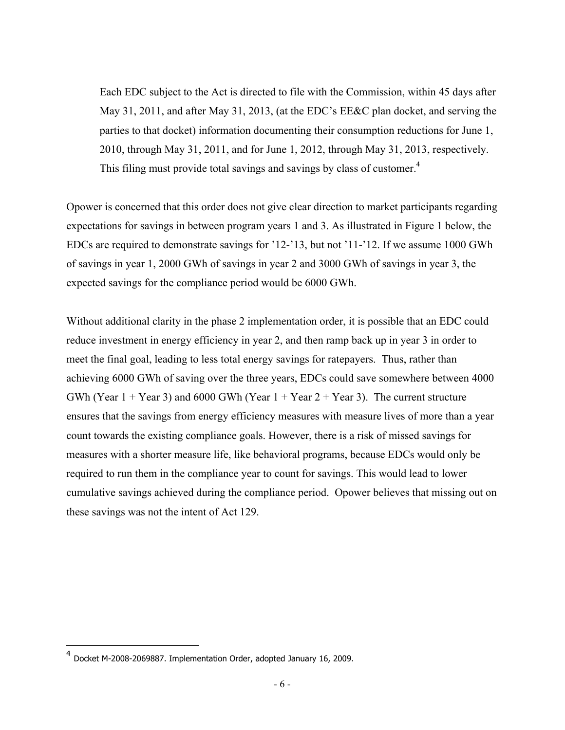Each EDC subject to the Act is directed to file with the Commission, within 45 days after May 31, 2011, and after May 31, 2013, (at the EDC's EE&C plan docket, and serving the parties to that docket) information documenting their consumption reductions for June 1, 2010, through May 31, 2011, and for June 1, 2012, through May 31, 2013, respectively. This filing must provide total savings and savings by class of customer.<sup>4</sup>

Opower is concerned that this order does not give clear direction to market participants regarding expectations for savings in between program years 1 and 3. As illustrated in Figure 1 below, the EDCs are required to demonstrate savings for '12-'13, but not '11-'12. If we assume 1000 GWh of savings in year 1, 2000 GWh of savings in year 2 and 3000 GWh of savings in year 3, the expected savings for the compliance period would be 6000 GWh.

Without additional clarity in the phase 2 implementation order, it is possible that an EDC could reduce investment in energy efficiency in year 2, and then ramp back up in year 3 in order to meet the final goal, leading to less total energy savings for ratepayers. Thus, rather than achieving 6000 GWh of saving over the three years, EDCs could save somewhere between 4000 GWh (Year  $1 +$  Year 3) and 6000 GWh (Year  $1 +$  Year  $2 +$  Year 3). The current structure ensures that the savings from energy efficiency measures with measure lives of more than a year count towards the existing compliance goals. However, there is a risk of missed savings for measures with a shorter measure life, like behavioral programs, because EDCs would only be required to run them in the compliance year to count for savings. This would lead to lower cumulative savings achieved during the compliance period. Opower believes that missing out on these savings was not the intent of Act 129.

<sup>4</sup> Docket M-2008-2069887. Implementation Order, adopted January 16, 2009.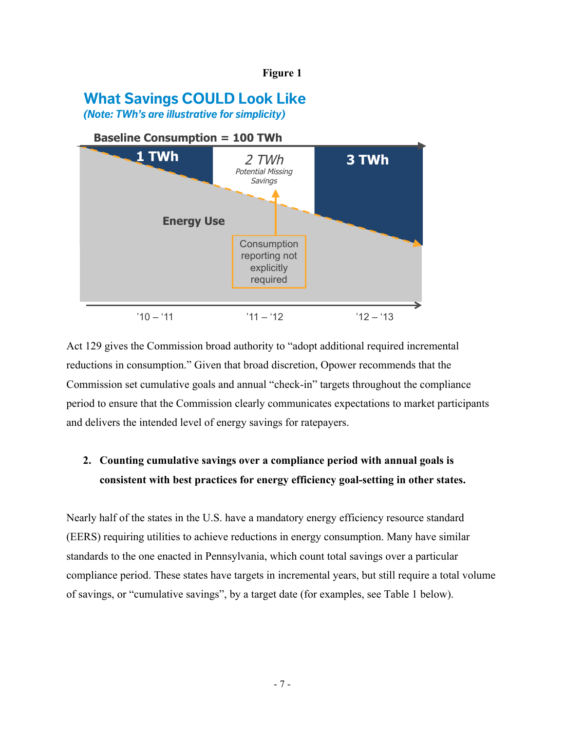#### **Figure 1**

# **What Savings COULD Look Like**

*(Note: TWh's are illustrative for simplicity)* 



Act 129 gives the Commission broad authority to "adopt additional required incremental  $OPEQ/WER$  reductions in consumption." Given that broad discretion, Opower recommends that the Commission set cumulative goals and annual "check-in" targets throughout the compliance period to ensure that the Commission clearly communicates expectations to market participants and delivers the intended level of energy savings for ratepayers.

## **2. Counting cumulative savings over a compliance period with annual goals is consistent with best practices for energy efficiency goal-setting in other states.**

Nearly half of the states in the U.S. have a mandatory energy efficiency resource standard (EERS) requiring utilities to achieve reductions in energy consumption. Many have similar standards to the one enacted in Pennsylvania, which count total savings over a particular compliance period. These states have targets in incremental years, but still require a total volume of savings, or "cumulative savings", by a target date (for examples, see Table 1 below).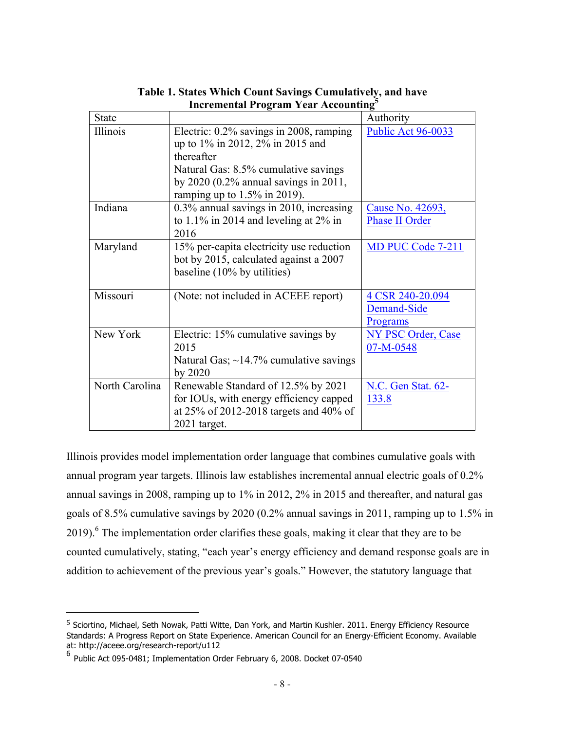| <b>State</b>   |                                                                                                                                                                                                                 | Authority                                   |
|----------------|-----------------------------------------------------------------------------------------------------------------------------------------------------------------------------------------------------------------|---------------------------------------------|
| Illinois       | Electric: 0.2% savings in 2008, ramping<br>up to 1% in 2012, 2% in 2015 and<br>thereafter<br>Natural Gas: 8.5% cumulative savings<br>by $2020$ (0.2% annual savings in 2011,<br>ramping up to $1.5\%$ in 2019). | Public Act 96-0033                          |
| Indiana        | $0.3\%$ annual savings in 2010, increasing<br>to 1.1% in 2014 and leveling at $2\%$ in<br>2016                                                                                                                  | Cause No. 42693,<br><b>Phase II Order</b>   |
| Maryland       | 15% per-capita electricity use reduction<br>bot by 2015, calculated against a 2007<br>baseline (10% by utilities)                                                                                               | MD PUC Code 7-211                           |
| Missouri       | (Note: not included in ACEEE report)                                                                                                                                                                            | 4 CSR 240-20.094<br>Demand-Side<br>Programs |
| New York       | Electric: 15% cumulative savings by<br>2015<br>Natural Gas; $\sim$ 14.7% cumulative savings<br>by 2020                                                                                                          | NY PSC Order, Case<br>07-M-0548             |
| North Carolina | Renewable Standard of 12.5% by 2021<br>for IOUs, with energy efficiency capped<br>at 25% of 2012-2018 targets and 40% of<br>2021 target.                                                                        | N.C. Gen Stat. 62-<br>133.8                 |

**Table 1. States Which Count Savings Cumulatively, and have Incremental Program Year Accounting<sup>5</sup>**

Illinois provides model implementation order language that combines cumulative goals with annual program year targets. Illinois law establishes incremental annual electric goals of 0.2% annual savings in 2008, ramping up to 1% in 2012, 2% in 2015 and thereafter, and natural gas goals of 8.5% cumulative savings by 2020 (0.2% annual savings in 2011, ramping up to 1.5% in 2019).<sup>6</sup> The implementation order clarifies these goals, making it clear that they are to be counted cumulatively, stating, "each year's energy efficiency and demand response goals are in addition to achievement of the previous year's goals." However, the statutory language that

<sup>&</sup>lt;sup>5</sup> Sciortino, Michael, Seth Nowak, Patti Witte, Dan York, and Martin Kushler. 2011. Energy Efficiency Resource Standards: A Progress Report on State Experience. American Council for an Energy-Efficient Economy. Available<br>at: http://aceee.org/research-report/u112

 $^6$  Public Act 095-0481; Implementation Order February 6, 2008. Docket 07-0540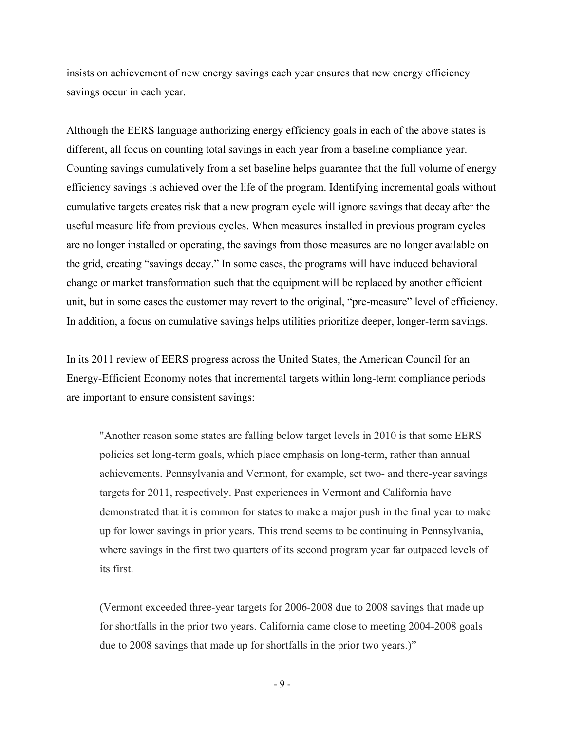insists on achievement of new energy savings each year ensures that new energy efficiency savings occur in each year.

Although the EERS language authorizing energy efficiency goals in each of the above states is different, all focus on counting total savings in each year from a baseline compliance year. Counting savings cumulatively from a set baseline helps guarantee that the full volume of energy efficiency savings is achieved over the life of the program. Identifying incremental goals without cumulative targets creates risk that a new program cycle will ignore savings that decay after the useful measure life from previous cycles. When measures installed in previous program cycles are no longer installed or operating, the savings from those measures are no longer available on the grid, creating "savings decay." In some cases, the programs will have induced behavioral change or market transformation such that the equipment will be replaced by another efficient unit, but in some cases the customer may revert to the original, "pre-measure" level of efficiency. In addition, a focus on cumulative savings helps utilities prioritize deeper, longer-term savings.

In its 2011 review of EERS progress across the United States, the American Council for an Energy-Efficient Economy notes that incremental targets within long-term compliance periods are important to ensure consistent savings:

"Another reason some states are falling below target levels in 2010 is that some EERS policies set long-term goals, which place emphasis on long-term, rather than annual achievements. Pennsylvania and Vermont, for example, set two- and there-year savings targets for 2011, respectively. Past experiences in Vermont and California have demonstrated that it is common for states to make a major push in the final year to make up for lower savings in prior years. This trend seems to be continuing in Pennsylvania, where savings in the first two quarters of its second program year far outpaced levels of its first.

(Vermont exceeded three-year targets for 2006-2008 due to 2008 savings that made up for shortfalls in the prior two years. California came close to meeting 2004-2008 goals due to 2008 savings that made up for shortfalls in the prior two years.)"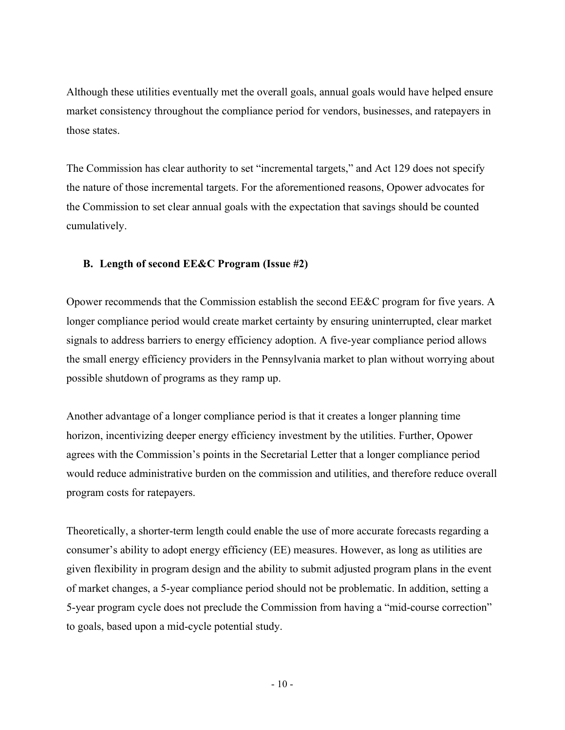Although these utilities eventually met the overall goals, annual goals would have helped ensure market consistency throughout the compliance period for vendors, businesses, and ratepayers in those states.

The Commission has clear authority to set "incremental targets," and Act 129 does not specify the nature of those incremental targets. For the aforementioned reasons, Opower advocates for the Commission to set clear annual goals with the expectation that savings should be counted cumulatively.

## **B. Length of second EE&C Program (Issue #2)**

Opower recommends that the Commission establish the second EE&C program for five years. A longer compliance period would create market certainty by ensuring uninterrupted, clear market signals to address barriers to energy efficiency adoption. A five-year compliance period allows the small energy efficiency providers in the Pennsylvania market to plan without worrying about possible shutdown of programs as they ramp up.

Another advantage of a longer compliance period is that it creates a longer planning time horizon, incentivizing deeper energy efficiency investment by the utilities. Further, Opower agrees with the Commission's points in the Secretarial Letter that a longer compliance period would reduce administrative burden on the commission and utilities, and therefore reduce overall program costs for ratepayers.

Theoretically, a shorter-term length could enable the use of more accurate forecasts regarding a consumer's ability to adopt energy efficiency (EE) measures. However, as long as utilities are given flexibility in program design and the ability to submit adjusted program plans in the event of market changes, a 5-year compliance period should not be problematic. In addition, setting a 5-year program cycle does not preclude the Commission from having a "mid-course correction" to goals, based upon a mid-cycle potential study.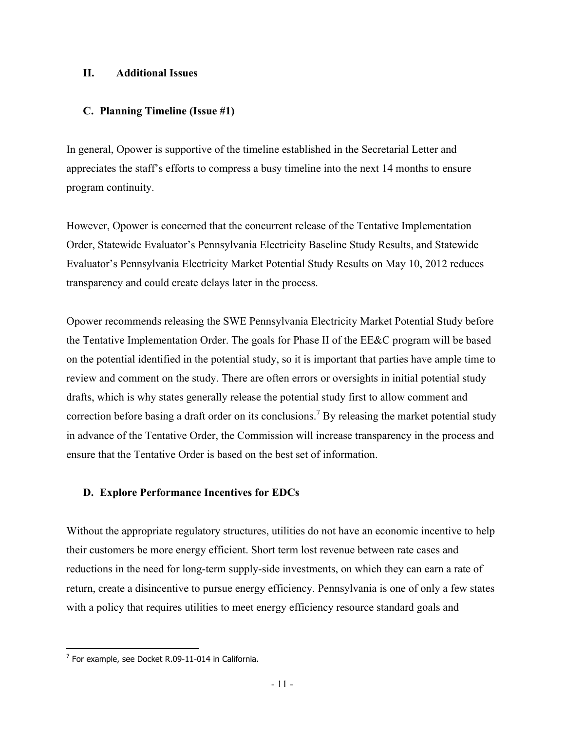### **II. Additional Issues**

### **C. Planning Timeline (Issue #1)**

In general, Opower is supportive of the timeline established in the Secretarial Letter and appreciates the staff's efforts to compress a busy timeline into the next 14 months to ensure program continuity.

However, Opower is concerned that the concurrent release of the Tentative Implementation Order, Statewide Evaluator's Pennsylvania Electricity Baseline Study Results, and Statewide Evaluator's Pennsylvania Electricity Market Potential Study Results on May 10, 2012 reduces transparency and could create delays later in the process.

Opower recommends releasing the SWE Pennsylvania Electricity Market Potential Study before the Tentative Implementation Order. The goals for Phase II of the EE&C program will be based on the potential identified in the potential study, so it is important that parties have ample time to review and comment on the study. There are often errors or oversights in initial potential study drafts, which is why states generally release the potential study first to allow comment and correction before basing a draft order on its conclusions.<sup>7</sup> By releasing the market potential study in advance of the Tentative Order, the Commission will increase transparency in the process and ensure that the Tentative Order is based on the best set of information.

## **D. Explore Performance Incentives for EDCs**

Without the appropriate regulatory structures, utilities do not have an economic incentive to help their customers be more energy efficient. Short term lost revenue between rate cases and reductions in the need for long-term supply-side investments, on which they can earn a rate of return, create a disincentive to pursue energy efficiency. Pennsylvania is one of only a few states with a policy that requires utilities to meet energy efficiency resource standard goals and

 $7$  For example, see Docket R.09-11-014 in California.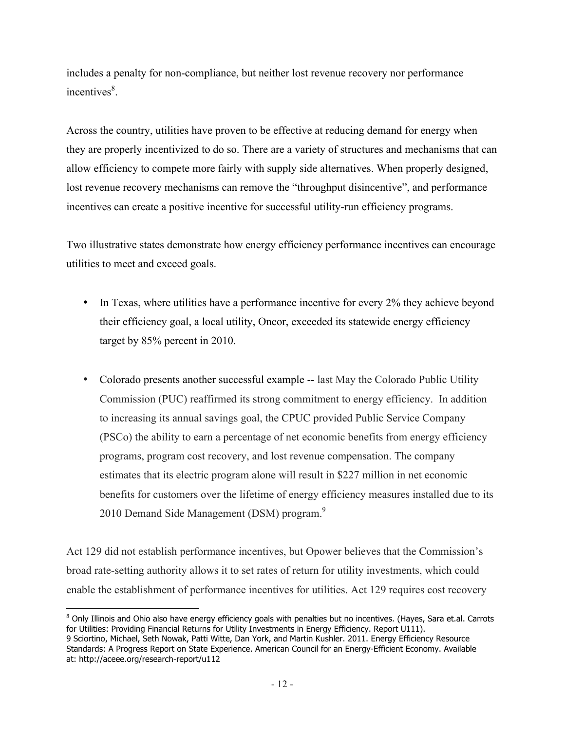includes a penalty for non-compliance, but neither lost revenue recovery nor performance incentives<sup>8</sup>.

Across the country, utilities have proven to be effective at reducing demand for energy when they are properly incentivized to do so. There are a variety of structures and mechanisms that can allow efficiency to compete more fairly with supply side alternatives. When properly designed, lost revenue recovery mechanisms can remove the "throughput disincentive", and performance incentives can create a positive incentive for successful utility-run efficiency programs.

Two illustrative states demonstrate how energy efficiency performance incentives can encourage utilities to meet and exceed goals.

- In Texas, where utilities have a performance incentive for every 2% they achieve beyond their efficiency goal, a local utility, Oncor, exceeded its statewide energy efficiency target by 85% percent in 2010.
- Colorado presents another successful example -- last May the Colorado Public Utility Commission (PUC) reaffirmed its strong commitment to energy efficiency. In addition to increasing its annual savings goal, the CPUC provided Public Service Company (PSCo) the ability to earn a percentage of net economic benefits from energy efficiency programs, program cost recovery, and lost revenue compensation. The company estimates that its electric program alone will result in \$227 million in net economic benefits for customers over the lifetime of energy efficiency measures installed due to its 2010 Demand Side Management (DSM) program.<sup>9</sup>

Act 129 did not establish performance incentives, but Opower believes that the Commission's broad rate-setting authority allows it to set rates of return for utility investments, which could enable the establishment of performance incentives for utilities. Act 129 requires cost recovery

<sup>&</sup>lt;sup>8</sup> Only Illinois and Ohio also have energy efficiency goals with penalties but no incentives. (Hayes, Sara et.al. Carrots for Utilities: Providing Financial Returns for Utility Investments in Energy Efficiency. Report U111).

<sup>9</sup> Sciortino, Michael, Seth Nowak, Patti Witte, Dan York, and Martin Kushler. 2011. Energy Efficiency Resource Standards: A Progress Report on State Experience. American Council for an Energy-Efficient Economy. Available at: http://aceee.org/research-report/u112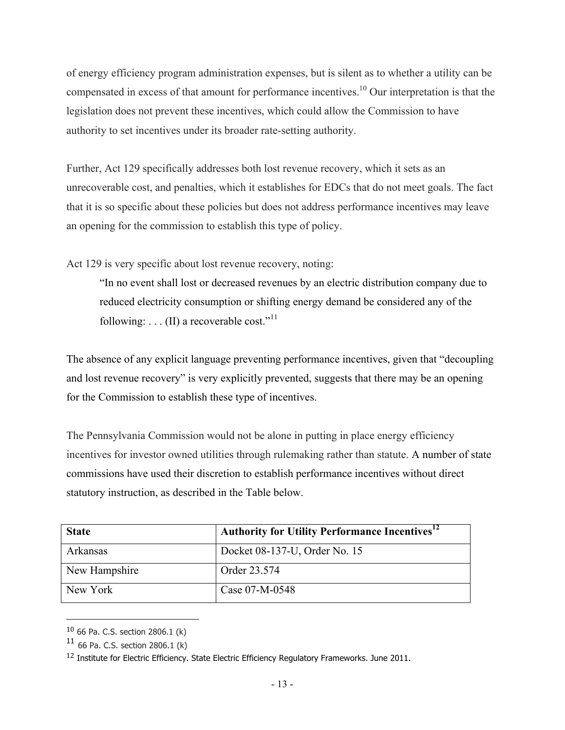of energy efficiency program administration expenses, but is silent as to whether a utility can be compensated in excess of that amount for performance incentives.10 Our interpretation is that the legislation does not prevent these incentives, which could allow the Commission to have authority to set incentives under its broader rate-setting authority.

Further, Act 129 specifically addresses both lost revenue recovery, which it sets as an unrecoverable cost, and penalties, which it establishes for EDCs that do not meet goals. The fact that it is so specific about these policies but does not address performance incentives may leave an opening for the commission to establish this type of policy.

Act 129 is very specific about lost revenue recovery, noting:

"In no event shall lost or decreased revenues by an electric distribution company due to reduced electricity consumption or shifting energy demand be considered any of the following:  $\dots$  (II) a recoverable cost."<sup>11</sup>

The absence of any explicit language preventing performance incentives, given that "decoupling and lost revenue recovery" is very explicitly prevented, suggests that there may be an opening for the Commission to establish these type of incentives.

The Pennsylvania Commission would not be alone in putting in place energy efficiency incentives for investor owned utilities through rulemaking rather than statute. A number of state commissions have used their discretion to establish performance incentives without direct statutory instruction, as described in the Table below.

| <b>State</b>  | <b>Authority for Utility Performance Incentives</b> <sup>12</sup> |
|---------------|-------------------------------------------------------------------|
| Arkansas      | Docket 08-137-U, Order No. 15                                     |
| New Hampshire | Order 23.574                                                      |
| New York      | Case 07-M-0548                                                    |

<sup>10</sup> 66 Pa. C.S. section 2806.1 (k)

 $11$  66 Pa. C.S. section 2806.1 (k)

 $12$  Institute for Electric Efficiency. State Electric Efficiency Regulatory Frameworks. June 2011.